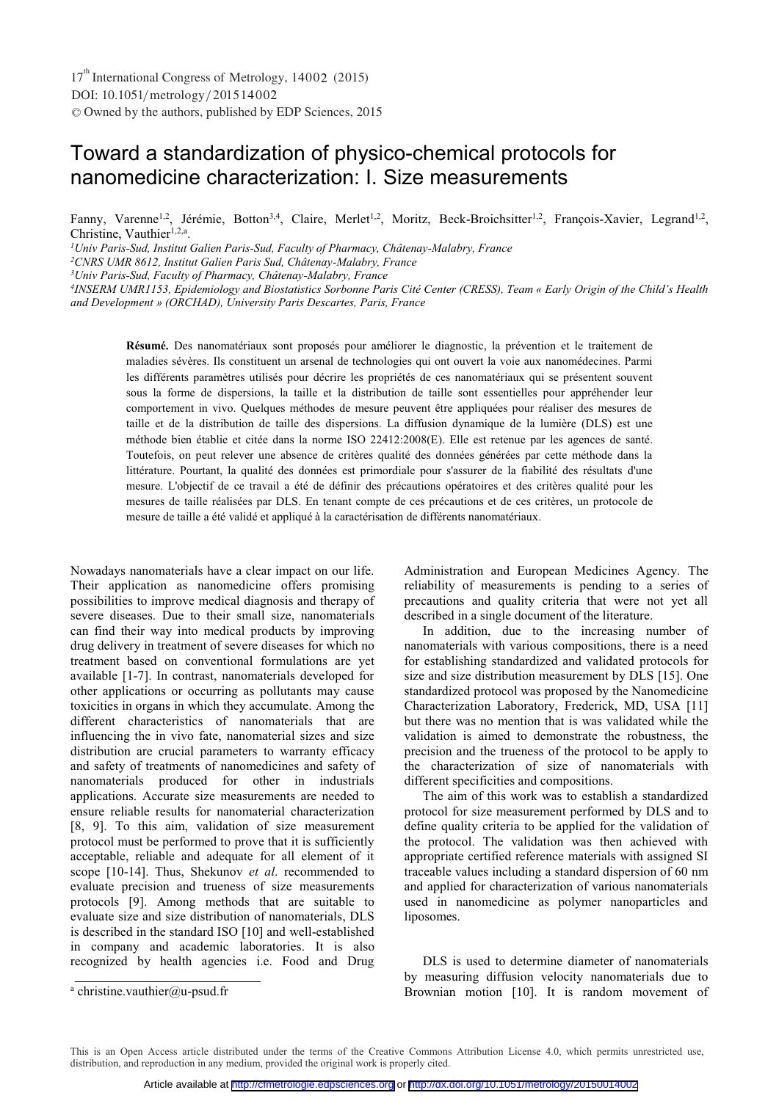# Toward a standardization of physico-chemical protocols for nanomedicine characterization: I. Size measurements

Fanny, Varenne<sup>1,2</sup>, Jérémie, Botton<sup>3,4</sup>, Claire, Merlet<sup>1,2</sup>, Moritz, Beck-Broichsitter<sup>1,2</sup>, François-Xavier, Legrand<sup>1,2</sup>, Christine, Vauthier $1,2,a$ .

*1Univ Paris-Sud, Institut Galien Paris-Sud, Faculty of Pharmacy, Châtenay-Malabry, France* 

*2CNRS UMR 8612, Institut Galien Paris Sud, Châtenay-Malabry, France* 

*3Univ Paris-Sud, Faculty of Pharmacy, Châtenay-Malabry, France* 

*4INSERM UMR1153, Epidemiology and Biostatistics Sorbonne Paris Cité Center (CRESS), Team « Early Origin of the Child's Health and Development » (ORCHAD), University Paris Descartes, Paris, France* 

**Résumé.** Des nanomatériaux sont proposés pour améliorer le diagnostic, la prévention et le traitement de maladies sévères. Ils constituent un arsenal de technologies qui ont ouvert la voie aux nanomédecines. Parmi les différents paramètres utilisés pour décrire les propriétés de ces nanomatériaux qui se présentent souvent sous la forme de dispersions, la taille et la distribution de taille sont essentielles pour appréhender leur comportement in vivo. Quelques méthodes de mesure peuvent être appliquées pour réaliser des mesures de taille et de la distribution de taille des dispersions. La diffusion dynamique de la lumière (DLS) est une méthode bien établie et citée dans la norme ISO 22412:2008(E). Elle est retenue par les agences de santé. Toutefois, on peut relever une absence de critères qualité des données générées par cette méthode dans la littérature. Pourtant, la qualité des données est primordiale pour s'assurer de la fiabilité des résultats d'une mesure. L'objectif de ce travail a été de définir des précautions opératoires et des critères qualité pour les mesures de taille réalisées par DLS. En tenant compte de ces précautions et de ces critères, un protocole de mesure de taille a été validé et appliqué à la caractérisation de différents nanomatériaux.

Nowadays nanomaterials have a clear impact on our life. Their application as nanomedicine offers promising possibilities to improve medical diagnosis and therapy of severe diseases. Due to their small size, nanomaterials can find their way into medical products by improving drug delivery in treatment of severe diseases for which no treatment based on conventional formulations are yet available [1-7]. In contrast, nanomaterials developed for other applications or occurring as pollutants may cause toxicities in organs in which they accumulate. Among the different characteristics of nanomaterials that are influencing the in vivo fate, nanomaterial sizes and size distribution are crucial parameters to warranty efficacy and safety of treatments of nanomedicines and safety of nanomaterials produced for other in industrials applications. Accurate size measurements are needed to ensure reliable results for nanomaterial characterization [8, 9]. To this aim, validation of size measurement protocol must be performed to prove that it is sufficiently acceptable, reliable and adequate for all element of it scope [10-14]. Thus, Shekunov *et al*. recommended to evaluate precision and trueness of size measurements protocols [9]. Among methods that are suitable to evaluate size and size distribution of nanomaterials, DLS is described in the standard ISO [10] and well-established in company and academic laboratories. It is also recognized by health agencies i.e. Food and Drug

Administration and European Medicines Agency. The reliability of measurements is pending to a series of precautions and quality criteria that were not yet all described in a single document of the literature.

 In addition, due to the increasing number of nanomaterials with various compositions, there is a need for establishing standardized and validated protocols for size and size distribution measurement by DLS [15]. One standardized protocol was proposed by the Nanomedicine Characterization Laboratory, Frederick, MD, USA [11] but there was no mention that is was validated while the validation is aimed to demonstrate the robustness, the precision and the trueness of the protocol to be apply to the characterization of size of nanomaterials with different specificities and compositions.

 The aim of this work was to establish a standardized protocol for size measurement performed by DLS and to define quality criteria to be applied for the validation of the protocol. The validation was then achieved with appropriate certified reference materials with assigned SI traceable values including a standard dispersion of 60 nm and applied for characterization of various nanomaterials used in nanomedicine as polymer nanoparticles and liposomes.

 DLS is used to determine diameter of nanomaterials by measuring diffusion velocity nanomaterials due to Brownian motion [10]. It is random movement of

This is an Open Access article distributed under the terms of the Creative Commons Attribution License 4.0, which permits unrestricted use, distribution, and reproduction in any medium, provided the original work is properly cited.

a christine.vauthier@u-psud.fr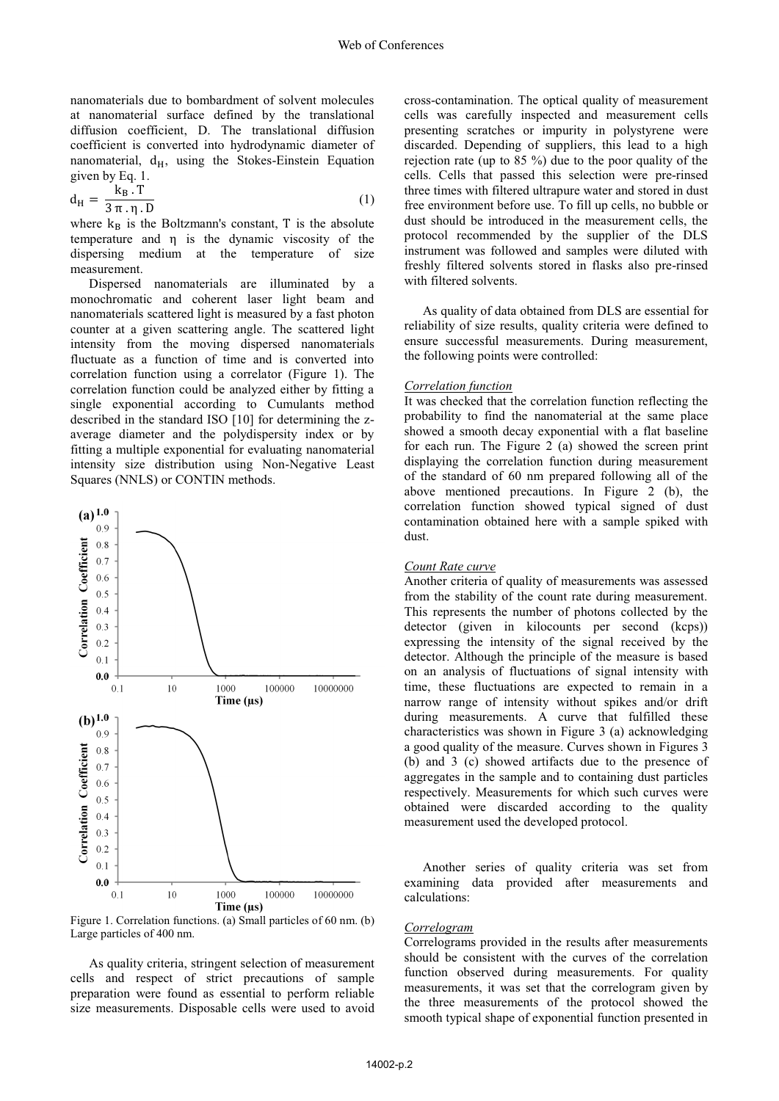nanomaterials due to bombardment of solvent molecules at nanomaterial surface defined by the translational diffusion coefficient, D. The translational diffusion coefficient is converted into hydrodynamic diameter of nanomaterial,  $d_H$ , using the Stokes-Einstein Equation given by Eq. 1.

$$
d_{\rm H} = \frac{k_{\rm B} \cdot T}{3 \pi \cdot \eta \cdot D} \tag{1}
$$

where  $k_B$  is the Boltzmann's constant, T is the absolute temperature and η is the dynamic viscosity of the dispersing medium at the temperature of size measurement.

Dispersed nanomaterials are illuminated by a monochromatic and coherent laser light beam and nanomaterials scattered light is measured by a fast photon counter at a given scattering angle. The scattered light intensity from the moving dispersed nanomaterials fluctuate as a function of time and is converted into correlation function using a correlator (Figure 1). The correlation function could be analyzed either by fitting a single exponential according to Cumulants method described in the standard ISO [10] for determining the zaverage diameter and the polydispersity index or by fitting a multiple exponential for evaluating nanomaterial intensity size distribution using Non-Negative Least Squares (NNLS) or CONTIN methods.



Figure 1. Correlation functions. (a) Small particles of 60 nm. (b) Large particles of 400 nm.

 As quality criteria, stringent selection of measurement cells and respect of strict precautions of sample preparation were found as essential to perform reliable size measurements. Disposable cells were used to avoid

cross-contamination. The optical quality of measurement cells was carefully inspected and measurement cells presenting scratches or impurity in polystyrene were discarded. Depending of suppliers, this lead to a high rejection rate (up to 85 %) due to the poor quality of the cells. Cells that passed this selection were pre-rinsed three times with filtered ultrapure water and stored in dust free environment before use. To fill up cells, no bubble or dust should be introduced in the measurement cells, the protocol recommended by the supplier of the DLS instrument was followed and samples were diluted with freshly filtered solvents stored in flasks also pre-rinsed with filtered solvents.

 As quality of data obtained from DLS are essential for reliability of size results, quality criteria were defined to ensure successful measurements. During measurement, the following points were controlled:

### *Correlation function*

It was checked that the correlation function reflecting the probability to find the nanomaterial at the same place showed a smooth decay exponential with a flat baseline for each run. The Figure 2 (a) showed the screen print displaying the correlation function during measurement of the standard of 60 nm prepared following all of the above mentioned precautions. In Figure 2 (b), the correlation function showed typical signed of dust contamination obtained here with a sample spiked with dust.

## *Count Rate curve*

Another criteria of quality of measurements was assessed from the stability of the count rate during measurement. This represents the number of photons collected by the detector (given in kilocounts per second (kcps)) expressing the intensity of the signal received by the detector. Although the principle of the measure is based on an analysis of fluctuations of signal intensity with time, these fluctuations are expected to remain in a narrow range of intensity without spikes and/or drift during measurements. A curve that fulfilled these characteristics was shown in Figure 3 (a) acknowledging a good quality of the measure. Curves shown in Figures 3 (b) and 3 (c) showed artifacts due to the presence of aggregates in the sample and to containing dust particles respectively. Measurements for which such curves were obtained were discarded according to the quality measurement used the developed protocol.

Another series of quality criteria was set from examining data provided after measurements and calculations:

#### *Correlogram*

Correlograms provided in the results after measurements should be consistent with the curves of the correlation function observed during measurements. For quality measurements, it was set that the correlogram given by the three measurements of the protocol showed the smooth typical shape of exponential function presented in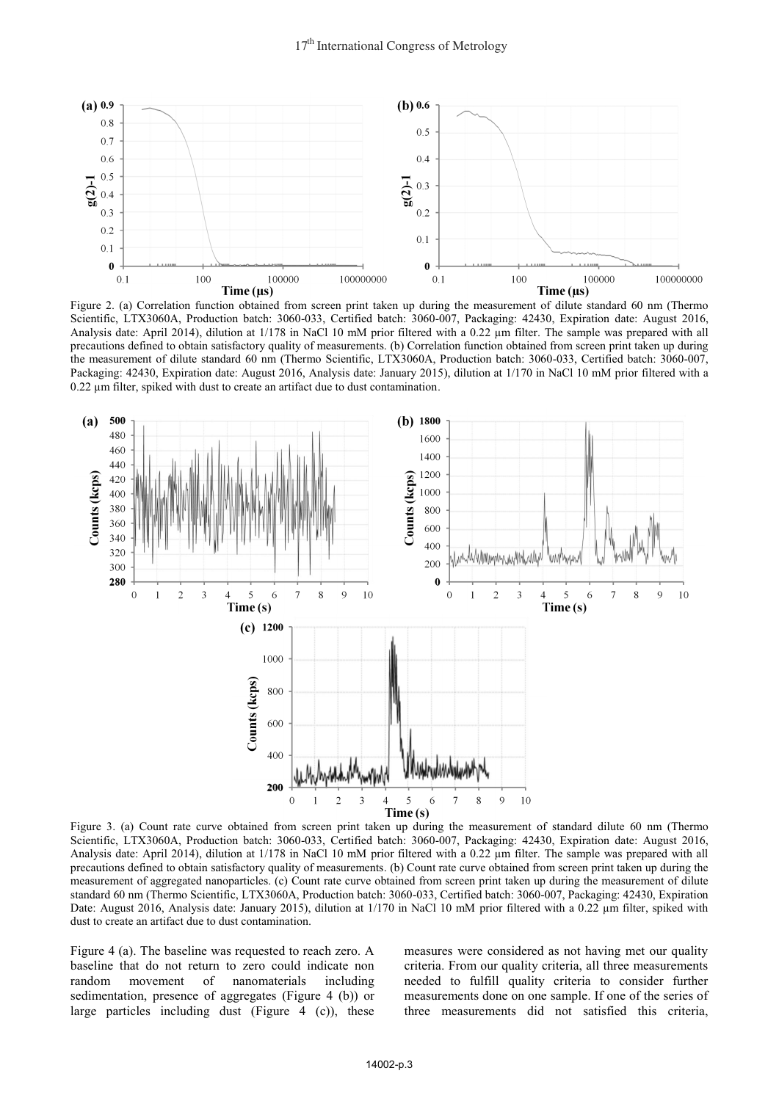

Figure 2. (a) Correlation function obtained from screen print taken up during the measurement of dilute standard 60 nm (Thermo Scientific, LTX3060A, Production batch: 3060-033, Certified batch: 3060-007, Packaging: 42430, Expiration date: August 2016, Analysis date: April 2014), dilution at 1/178 in NaCl 10 mM prior filtered with a 0.22 μm filter. The sample was prepared with all precautions defined to obtain satisfactory quality of measurements. (b) Correlation function obtained from screen print taken up during the measurement of dilute standard 60 nm (Thermo Scientific, LTX3060A, Production batch: 3060-033, Certified batch: 3060-007, Packaging: 42430, Expiration date: August 2016, Analysis date: January 2015), dilution at 1/170 in NaCl 10 mM prior filtered with a 0.22 μm filter, spiked with dust to create an artifact due to dust contamination.



Figure 3. (a) Count rate curve obtained from screen print taken up during the measurement of standard dilute 60 nm (Thermo Scientific, LTX3060A, Production batch: 3060-033, Certified batch: 3060-007, Packaging: 42430, Expiration date: August 2016, Analysis date: April 2014), dilution at 1/178 in NaCl 10 mM prior filtered with a 0.22 μm filter. The sample was prepared with all precautions defined to obtain satisfactory quality of measurements. (b) Count rate curve obtained from screen print taken up during the measurement of aggregated nanoparticles. (c) Count rate curve obtained from screen print taken up during the measurement of dilute standard 60 nm (Thermo Scientific, LTX3060A, Production batch: 3060-033, Certified batch: 3060-007, Packaging: 42430, Expiration Date: August 2016, Analysis date: January 2015), dilution at 1/170 in NaCl 10 mM prior filtered with a 0.22 μm filter, spiked with dust to create an artifact due to dust contamination.

Figure 4 (a). The baseline was requested to reach zero. A baseline that do not return to zero could indicate non random movement of nanomaterials including sedimentation, presence of aggregates (Figure 4 (b)) or large particles including dust (Figure 4 (c)), these

measures were considered as not having met our quality criteria. From our quality criteria, all three measurements needed to fulfill quality criteria to consider further measurements done on one sample. If one of the series of three measurements did not satisfied this criteria,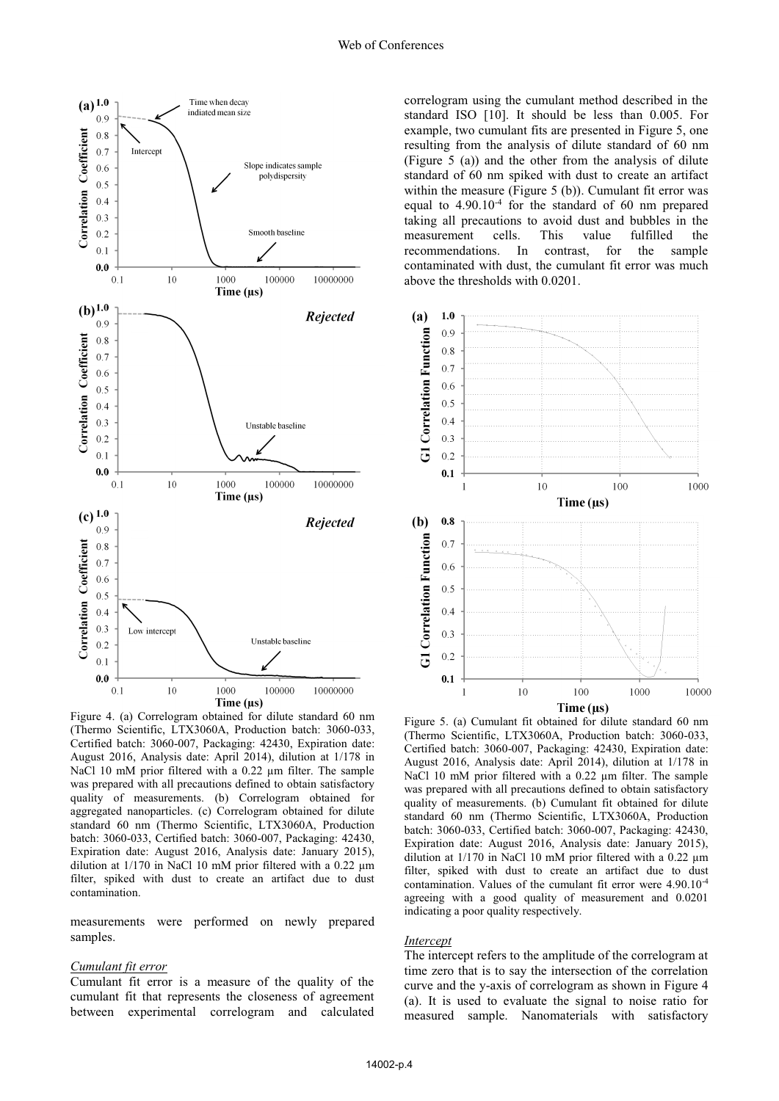

Figure 4. (a) Correlogram obtained for dilute standard 60 nm (Thermo Scientific, LTX3060A, Production batch: 3060-033, Certified batch: 3060-007, Packaging: 42430, Expiration date: August 2016, Analysis date: April 2014), dilution at 1/178 in NaCl 10 mM prior filtered with a 0.22 μm filter. The sample was prepared with all precautions defined to obtain satisfactory quality of measurements. (b) Correlogram obtained for aggregated nanoparticles. (c) Correlogram obtained for dilute standard 60 nm (Thermo Scientific, LTX3060A, Production batch: 3060-033, Certified batch: 3060-007, Packaging: 42430, Expiration date: August 2016, Analysis date: January 2015), dilution at 1/170 in NaCl 10 mM prior filtered with a 0.22 μm filter, spiked with dust to create an artifact due to dust contamination.

measurements were performed on newly prepared samples.

#### *Cumulant fit error*

Cumulant fit error is a measure of the quality of the cumulant fit that represents the closeness of agreement between experimental correlogram and calculated correlogram using the cumulant method described in the standard ISO [10]. It should be less than 0.005. For example, two cumulant fits are presented in Figure 5, one resulting from the analysis of dilute standard of 60 nm (Figure 5 (a)) and the other from the analysis of dilute standard of 60 nm spiked with dust to create an artifact within the measure (Figure 5 (b)). Cumulant fit error was equal to 4.90.10-4 for the standard of 60 nm prepared taking all precautions to avoid dust and bubbles in the measurement cells. This value fulfilled the recommendations. In contrast, for the sample contaminated with dust, the cumulant fit error was much above the thresholds with 0.0201.



Figure 5. (a) Cumulant fit obtained for dilute standard 60 nm (Thermo Scientific, LTX3060A, Production batch: 3060-033, Certified batch: 3060-007, Packaging: 42430, Expiration date: August 2016, Analysis date: April 2014), dilution at 1/178 in NaCl 10 mM prior filtered with a 0.22 μm filter. The sample was prepared with all precautions defined to obtain satisfactory quality of measurements. (b) Cumulant fit obtained for dilute standard 60 nm (Thermo Scientific, LTX3060A, Production batch: 3060-033, Certified batch: 3060-007, Packaging: 42430, Expiration date: August 2016, Analysis date: January 2015), dilution at 1/170 in NaCl 10 mM prior filtered with a 0.22 μm filter, spiked with dust to create an artifact due to dust contamination. Values of the cumulant fit error were 4.90.10-4 agreeing with a good quality of measurement and 0.0201 indicating a poor quality respectively.

#### *Intercept*

The intercept refers to the amplitude of the correlogram at time zero that is to say the intersection of the correlation curve and the y-axis of correlogram as shown in Figure 4 (a). It is used to evaluate the signal to noise ratio for measured sample. Nanomaterials with satisfactory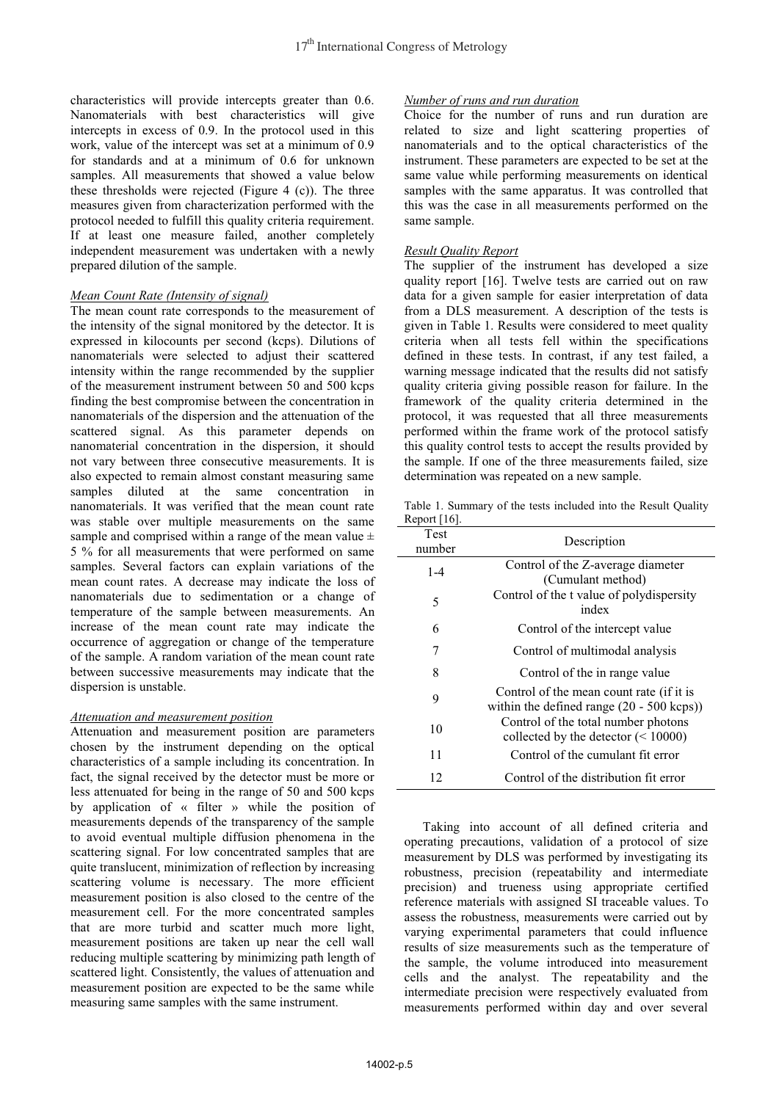characteristics will provide intercepts greater than 0.6. Nanomaterials with best characteristics will give intercepts in excess of 0.9. In the protocol used in this work, value of the intercept was set at a minimum of 0.9 for standards and at a minimum of 0.6 for unknown samples. All measurements that showed a value below these thresholds were rejected (Figure 4 (c)). The three measures given from characterization performed with the protocol needed to fulfill this quality criteria requirement. If at least one measure failed, another completely independent measurement was undertaken with a newly prepared dilution of the sample.

# *Mean Count Rate (Intensity of signal)*

The mean count rate corresponds to the measurement of the intensity of the signal monitored by the detector. It is expressed in kilocounts per second (kcps). Dilutions of nanomaterials were selected to adjust their scattered intensity within the range recommended by the supplier of the measurement instrument between 50 and 500 kcps finding the best compromise between the concentration in nanomaterials of the dispersion and the attenuation of the scattered signal. As this parameter depends on nanomaterial concentration in the dispersion, it should not vary between three consecutive measurements. It is also expected to remain almost constant measuring same samples diluted at the same concentration in nanomaterials. It was verified that the mean count rate was stable over multiple measurements on the same sample and comprised within a range of the mean value  $\pm$ 5 % for all measurements that were performed on same samples. Several factors can explain variations of the mean count rates. A decrease may indicate the loss of nanomaterials due to sedimentation or a change of temperature of the sample between measurements. An increase of the mean count rate may indicate the occurrence of aggregation or change of the temperature of the sample. A random variation of the mean count rate between successive measurements may indicate that the dispersion is unstable.

## *Attenuation and measurement position*

Attenuation and measurement position are parameters chosen by the instrument depending on the optical characteristics of a sample including its concentration. In fact, the signal received by the detector must be more or less attenuated for being in the range of 50 and 500 kcps by application of « filter » while the position of measurements depends of the transparency of the sample to avoid eventual multiple diffusion phenomena in the scattering signal. For low concentrated samples that are quite translucent, minimization of reflection by increasing scattering volume is necessary. The more efficient measurement position is also closed to the centre of the measurement cell. For the more concentrated samples that are more turbid and scatter much more light, measurement positions are taken up near the cell wall reducing multiple scattering by minimizing path length of scattered light. Consistently, the values of attenuation and measurement position are expected to be the same while measuring same samples with the same instrument.

## *Number of runs and run duration*

Choice for the number of runs and run duration are related to size and light scattering properties of nanomaterials and to the optical characteristics of the instrument. These parameters are expected to be set at the same value while performing measurements on identical samples with the same apparatus. It was controlled that this was the case in all measurements performed on the same sample.

# *Result Quality Report*

The supplier of the instrument has developed a size quality report [16]. Twelve tests are carried out on raw data for a given sample for easier interpretation of data from a DLS measurement. A description of the tests is given in Table 1. Results were considered to meet quality criteria when all tests fell within the specifications defined in these tests. In contrast, if any test failed, a warning message indicated that the results did not satisfy quality criteria giving possible reason for failure. In the framework of the quality criteria determined in the protocol, it was requested that all three measurements performed within the frame work of the protocol satisfy this quality control tests to accept the results provided by the sample. If one of the three measurements failed, size determination was repeated on a new sample.

Table 1. Summary of the tests included into the Result Quality Report [16].

| $\frac{1}{2}$  |                                                                                                |
|----------------|------------------------------------------------------------------------------------------------|
| Test<br>number | Description                                                                                    |
| $1 - 4$        | Control of the Z-average diameter<br>(Cumulant method)                                         |
| 5              | Control of the t value of polydispersity<br>index                                              |
| 6              | Control of the intercept value                                                                 |
| 7              | Control of multimodal analysis                                                                 |
| 8              | Control of the in range value                                                                  |
| 9              | Control of the mean count rate (if it is<br>within the defined range $(20 - 500 \text{ kcps})$ |
| 10             | Control of the total number photons<br>collected by the detector $(< 10000)$                   |
| 11             | Control of the cumulant fit error                                                              |
| 12             | Control of the distribution fit error                                                          |
|                |                                                                                                |

 Taking into account of all defined criteria and operating precautions, validation of a protocol of size measurement by DLS was performed by investigating its robustness, precision (repeatability and intermediate precision) and trueness using appropriate certified reference materials with assigned SI traceable values. To assess the robustness, measurements were carried out by varying experimental parameters that could influence results of size measurements such as the temperature of the sample, the volume introduced into measurement cells and the analyst. The repeatability and the intermediate precision were respectively evaluated from measurements performed within day and over several